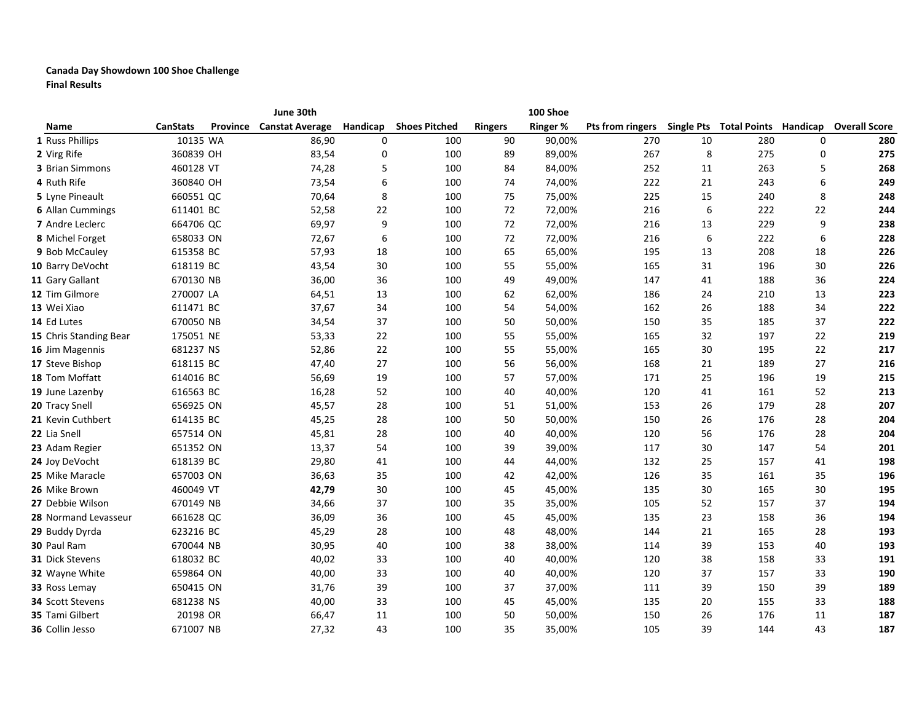## Canada Day Showdown 100 Shoe Challenge Final Results

|                         |                 | June 30th                       |          |                      |                | 100 Shoe        |                  |    |     |    |                                                |
|-------------------------|-----------------|---------------------------------|----------|----------------------|----------------|-----------------|------------------|----|-----|----|------------------------------------------------|
| Name                    | <b>CanStats</b> | <b>Province Canstat Average</b> | Handicap | <b>Shoes Pitched</b> | <b>Ringers</b> | <b>Ringer %</b> | Pts from ringers |    |     |    | Single Pts Total Points Handicap Overall Score |
| 1 Russ Phillips         | 10135 WA        | 86,90                           | 0        | 100                  | 90             | 90,00%          | 270              | 10 | 280 | 0  | 280                                            |
| 2 Virg Rife             | 360839 OH       | 83,54                           | 0        | 100                  | 89             | 89,00%          | 267              | 8  | 275 | 0  | 275                                            |
| 3 Brian Simmons         | 460128 VT       | 74,28                           | 5        | 100                  | 84             | 84,00%          | 252              | 11 | 263 | 5  | 268                                            |
| 4 Ruth Rife             | 360840 OH       | 73,54                           | 6        | 100                  | 74             | 74,00%          | 222              | 21 | 243 | 6  | 249                                            |
| 5 Lyne Pineault         | 660551 QC       | 70,64                           | 8        | 100                  | 75             | 75,00%          | 225              | 15 | 240 | 8  | 248                                            |
| 6 Allan Cummings        | 611401 BC       | 52,58                           | 22       | 100                  | 72             | 72,00%          | 216              | 6  | 222 | 22 | 244                                            |
| 7 Andre Leclerc         | 664706 QC       | 69,97                           | 9        | 100                  | 72             | 72,00%          | 216              | 13 | 229 | 9  | 238                                            |
| 8 Michel Forget         | 658033 ON       | 72,67                           | 6        | 100                  | 72             | 72,00%          | 216              | 6  | 222 | 6  | 228                                            |
| 9 Bob McCauley          | 615358 BC       | 57,93                           | 18       | 100                  | 65             | 65,00%          | 195              | 13 | 208 | 18 | 226                                            |
| 10 Barry DeVocht        | 618119 BC       | 43,54                           | 30       | 100                  | 55             | 55,00%          | 165              | 31 | 196 | 30 | 226                                            |
| 11 Gary Gallant         | 670130 NB       | 36,00                           | 36       | 100                  | 49             | 49,00%          | 147              | 41 | 188 | 36 | 224                                            |
| 12 Tim Gilmore          | 270007 LA       | 64,51                           | 13       | 100                  | 62             | 62,00%          | 186              | 24 | 210 | 13 | 223                                            |
| 13 Wei Xiao             | 611471 BC       | 37,67                           | 34       | 100                  | 54             | 54,00%          | 162              | 26 | 188 | 34 | 222                                            |
| 14 Ed Lutes             | 670050 NB       | 34,54                           | 37       | 100                  | 50             | 50,00%          | 150              | 35 | 185 | 37 | 222                                            |
| 15 Chris Standing Bear  | 175051 NE       | 53,33                           | 22       | 100                  | 55             | 55,00%          | 165              | 32 | 197 | 22 | 219                                            |
| 16 Jim Magennis         | 681237 NS       | 52,86                           | 22       | 100                  | 55             | 55,00%          | 165              | 30 | 195 | 22 | 217                                            |
| 17 Steve Bishop         | 618115 BC       | 47,40                           | 27       | 100                  | 56             | 56,00%          | 168              | 21 | 189 | 27 | 216                                            |
| 18 Tom Moffatt          | 614016 BC       | 56,69                           | 19       | 100                  | 57             | 57,00%          | 171              | 25 | 196 | 19 | 215                                            |
| 19 June Lazenby         | 616563 BC       | 16,28                           | 52       | 100                  | 40             | 40,00%          | 120              | 41 | 161 | 52 | 213                                            |
| 20 Tracy Snell          | 656925 ON       | 45,57                           | 28       | 100                  | 51             | 51,00%          | 153              | 26 | 179 | 28 | 207                                            |
| 21 Kevin Cuthbert       | 614135 BC       | 45,25                           | 28       | 100                  | 50             | 50,00%          | 150              | 26 | 176 | 28 | 204                                            |
| 22 Lia Snell            | 657514 ON       | 45,81                           | 28       | 100                  | 40             | 40,00%          | 120              | 56 | 176 | 28 | 204                                            |
| 23 Adam Regier          | 651352 ON       | 13,37                           | 54       | 100                  | 39             | 39,00%          | 117              | 30 | 147 | 54 | 201                                            |
| 24 Joy DeVocht          | 618139 BC       | 29,80                           | 41       | 100                  | 44             | 44,00%          | 132              | 25 | 157 | 41 | 198                                            |
| 25 Mike Maracle         | 657003 ON       | 36,63                           | 35       | 100                  | 42             | 42,00%          | 126              | 35 | 161 | 35 | 196                                            |
| 26 Mike Brown           | 460049 VT       | 42,79                           | 30       | 100                  | 45             | 45,00%          | 135              | 30 | 165 | 30 | 195                                            |
| 27 Debbie Wilson        | 670149 NB       | 34,66                           | 37       | 100                  | 35             | 35,00%          | 105              | 52 | 157 | 37 | 194                                            |
| 28 Normand Levasseur    | 661628 QC       | 36,09                           | 36       | 100                  | 45             | 45,00%          | 135              | 23 | 158 | 36 | 194                                            |
| 29 Buddy Dyrda          | 623216 BC       | 45,29                           | 28       | 100                  | 48             | 48,00%          | 144              | 21 | 165 | 28 | 193                                            |
| 30 Paul Ram             | 670044 NB       | 30,95                           | 40       | 100                  | 38             | 38,00%          | 114              | 39 | 153 | 40 | 193                                            |
| <b>31</b> Dick Stevens  | 618032 BC       | 40,02                           | 33       | 100                  | 40             | 40,00%          | 120              | 38 | 158 | 33 | 191                                            |
| 32 Wayne White          | 659864 ON       | 40,00                           | 33       | 100                  | 40             | 40,00%          | 120              | 37 | 157 | 33 | 190                                            |
| 33 Ross Lemay           | 650415 ON       | 31,76                           | 39       | 100                  | 37             | 37,00%          | 111              | 39 | 150 | 39 | 189                                            |
| <b>34 Scott Stevens</b> | 681238 NS       | 40,00                           | 33       | 100                  | 45             | 45,00%          | 135              | 20 | 155 | 33 | 188                                            |
| 35 Tami Gilbert         | 20198 OR        | 66,47                           | 11       | 100                  | 50             | 50,00%          | 150              | 26 | 176 | 11 | 187                                            |
| 36 Collin Jesso         | 671007 NB       | 27,32                           | 43       | 100                  | 35             | 35,00%          | 105              | 39 | 144 | 43 | 187                                            |